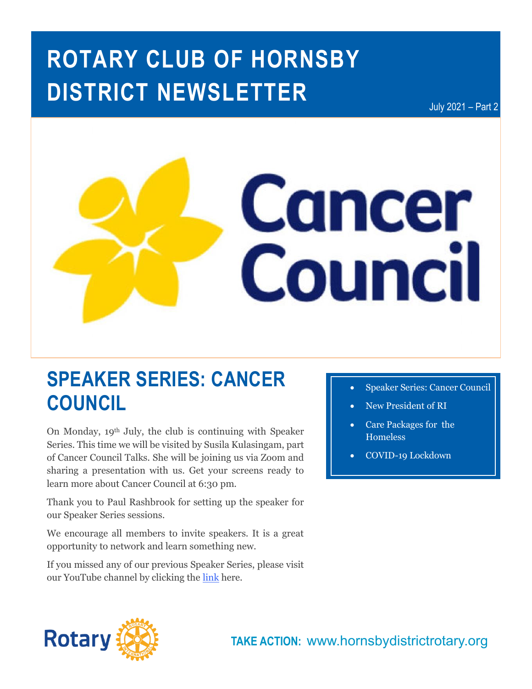# **ROTARY CLUB OF HORNSBY DISTRICT NEWSLETTER**

July 2021 – Part 2



## **SPEAKER SERIES: CANCER COUNCIL**

On Monday, 19th July, the club is continuing with Speaker Series. This time we will be visited by Susila Kulasingam, part of Cancer Council Talks. She will be joining us via Zoom and sharing a presentation with us. Get your screens ready to learn more about Cancer Council at 6:30 pm.

Thank you to Paul Rashbrook for setting up the speaker for our Speaker Series sessions.

We encourage all members to invite speakers. It is a great opportunity to network and learn something new.

If you missed any of our previous Speaker Series, please visit our YouTube channel by clicking the [link](https://www.youtube.com/channel/UCrvix9iXemteLuV6Cwz96AQ) here.

- **Speaker Series: Cancer Council**
- New President of RI
- Care Packages for the Homeless
- COVID-19 Lockdown

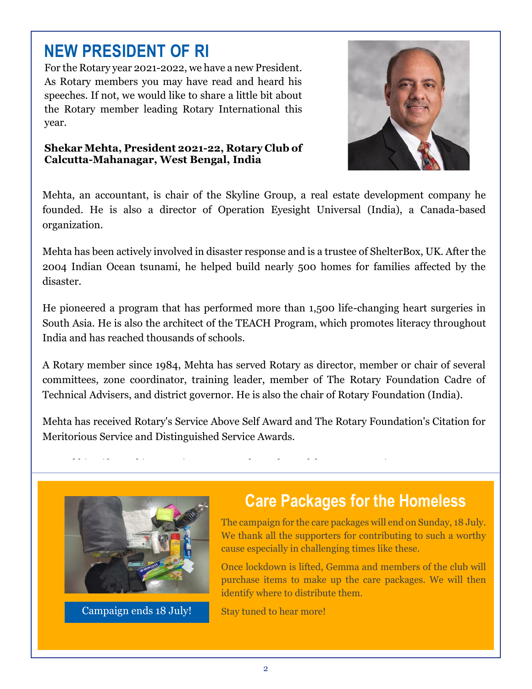### **NEW PRESIDENT OF RI**

For the Rotary year 2021-2022, we have a new President. As Rotary members you may have read and heard his speeches. If not, we would like to share a little bit about the Rotary member leading Rotary International this year.

#### **Shekar Mehta, President 2021-22, Rotary Club of Calcutta-Mahanagar, West Bengal, India**



Mehta, an accountant, is chair of the Skyline Group, a real estate development company he founded. He is also a director of Operation Eyesight Universal (India), a Canada-based organization.

Mehta has been actively involved in disaster response and is a trustee of ShelterBox, UK. After the 2004 Indian Ocean tsunami, he helped build nearly 500 homes for families affected by the disaster.

He pioneered a program that has performed more than 1,500 life-changing heart surgeries in South Asia. He is also the architect of the TEACH Program, which promotes literacy throughout India and has reached thousands of schools.

A Rotary member since 1984, Mehta has served Rotary as director, member or chair of several committees, zone coordinator, training leader, member of The Rotary Foundation Cadre of Technical Advisers, and district governor. He is also the chair of Rotary Foundation (India).

Mehta has received Rotary's Service Above Self Award and The Rotary Foundation's Citation for Meritorious Service and Distinguished Service Awards.



Campaign ends 18 July!

### **Care Packages for the Homeless**

The campaign for the care packages will end on Sunday, 18 July. We thank all the supporters for contributing to such a worthy cause especially in challenging times like these.

Once lockdown is lifted, Gemma and members of the club will purchase items to make up the care packages. We will then identify where to distribute them.

Stay tuned to hear more!